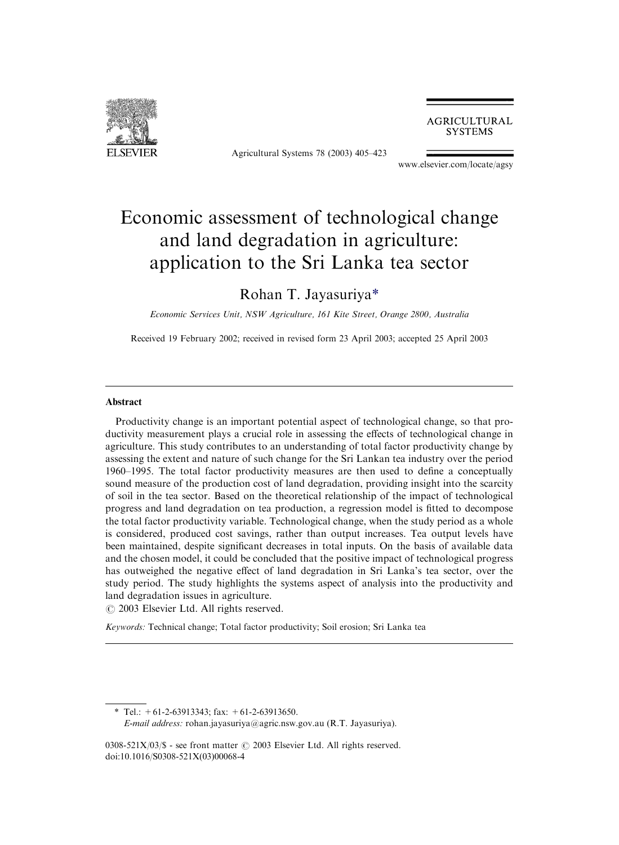

Agricultural Systems 78 (2003) 405–423

**AGRICULTURAL SYSTEMS** 

[www.elsevier.com/locate/agsy](http://www.elsevier.com/locate/agsy/a4.3d)

## Economic assessment of technological change and land degradation in agriculture: application to the Sri Lanka tea sector

### Rohan T. Jayasuriya\*

Economic Services Unit, NSW Agriculture, 161 Kite Street, Orange 2800, Australia

Received 19 February 2002; received in revised form 23 April 2003; accepted 25 April 2003

### Abstract

Productivity change is an important potential aspect of technological change, so that productivity measurement plays a crucial role in assessing the effects of technological change in agriculture. This study contributes to an understanding of total factor productivity change by assessing the extent and nature of such change for the Sri Lankan tea industry over the period 1960–1995. The total factor productivity measures are then used to define a conceptually sound measure of the production cost of land degradation, providing insight into the scarcity of soil in the tea sector. Based on the theoretical relationship of the impact of technological progress and land degradation on tea production, a regression model is fitted to decompose the total factor productivity variable. Technological change, when the study period as a whole is considered, produced cost savings, rather than output increases. Tea output levels have been maintained, despite significant decreases in total inputs. On the basis of available data and the chosen model, it could be concluded that the positive impact of technological progress has outweighed the negative effect of land degradation in Sri Lanka's tea sector, over the study period. The study highlights the systems aspect of analysis into the productivity and land degradation issues in agriculture.

 $\odot$  2003 Elsevier Ltd. All rights reserved.

Keywords: Technical change; Total factor productivity; Soil erosion; Sri Lanka tea

<sup>\*</sup> Tel.:  $+61-2-63913343$ ; fax:  $+61-2-63913650$ . E-mail address: [rohan.jayasuriya@agric.nsw.gov.au](mailto:rohan.jayasuriya@agric.nsw.gov.au) (R.T. Jayasuriya).

<sup>0308-521</sup>X/03/\$ - see front matter  $\odot$  2003 Elsevier Ltd. All rights reserved. doi:10.1016/S0308-521X(03)00068-4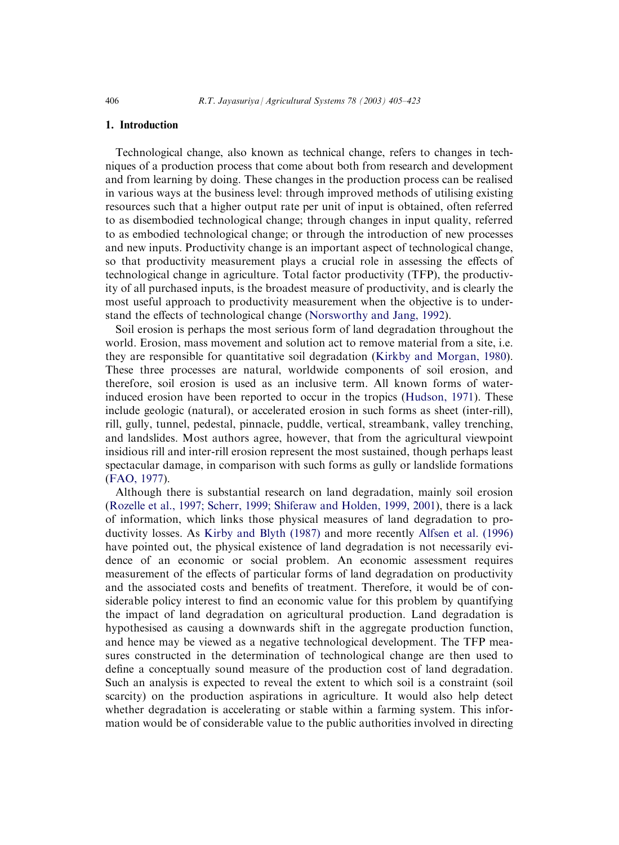#### 1. Introduction

Technological change, also known as technical change, refers to changes in techniques of a production process that come about both from research and development and from learning by doing. These changes in the production process can be realised in various ways at the business level: through improved methods of utilising existing resources such that a higher output rate per unit of input is obtained, often referred to as disembodied technological change; through changes in input quality, referred to as embodied technological change; or through the introduction of new processes and new inputs. Productivity change is an important aspect of technological change, so that productivity measurement plays a crucial role in assessing the effects of technological change in agriculture. Total factor productivity (TFP), the productivity of all purchased inputs, is the broadest measure of productivity, and is clearly the most useful approach to productivity measurement when the objective is to understand the effects of technological change ([Norsworthy and Jang, 1992](#page--1-0)).

Soil erosion is perhaps the most serious form of land degradation throughout the world. Erosion, mass movement and solution act to remove material from a site, i.e. they are responsible for quantitative soil degradation [\(Kirkby and Morgan, 1980](#page--1-0)). These three processes are natural, worldwide components of soil erosion, and therefore, soil erosion is used as an inclusive term. All known forms of waterinduced erosion have been reported to occur in the tropics [\(Hudson, 1971\)](#page--1-0). These include geologic (natural), or accelerated erosion in such forms as sheet (inter-rill), rill, gully, tunnel, pedestal, pinnacle, puddle, vertical, streambank, valley trenching, and landslides. Most authors agree, however, that from the agricultural viewpoint insidious rill and inter-rill erosion represent the most sustained, though perhaps least spectacular damage, in comparison with such forms as gully or landslide formations ([FAO, 1977\)](#page--1-0).

Although there is substantial research on land degradation, mainly soil erosion ([Rozelle et al., 1997; Scherr, 1999; Shiferaw and Holden, 1999, 2001](#page--1-0)), there is a lack of information, which links those physical measures of land degradation to productivity losses. As [Kirby and Blyth \(1987\)](#page--1-0) and more recently [Alfsen et al. \(1996\)](#page--1-0) have pointed out, the physical existence of land degradation is not necessarily evidence of an economic or social problem. An economic assessment requires measurement of the effects of particular forms of land degradation on productivity and the associated costs and benefits of treatment. Therefore, it would be of considerable policy interest to find an economic value for this problem by quantifying the impact of land degradation on agricultural production. Land degradation is hypothesised as causing a downwards shift in the aggregate production function, and hence may be viewed as a negative technological development. The TFP measures constructed in the determination of technological change are then used to define a conceptually sound measure of the production cost of land degradation. Such an analysis is expected to reveal the extent to which soil is a constraint (soil scarcity) on the production aspirations in agriculture. It would also help detect whether degradation is accelerating or stable within a farming system. This information would be of considerable value to the public authorities involved in directing